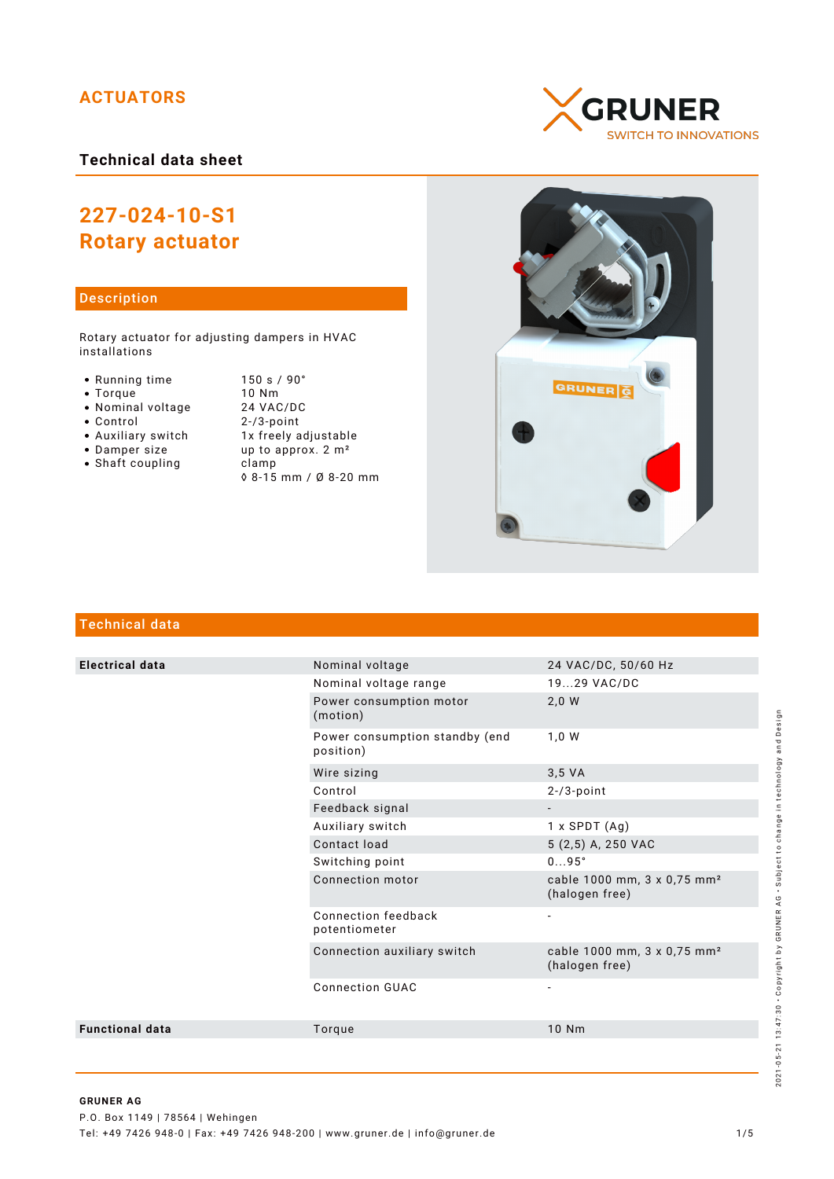# **ACTUATORS**

**Technical data sheet**

# **227-024-10-S1 Rotary actuator**

# Description

Rotary actuator for adjusting dampers in HVAC installations

- 
- 
- Nominal voltage<br>• Control
- 
- -
- 
- Shaft coupling becamp
- Running time 150 s / 90°<br>• Torque 10 Nm • Torque 10 Nm<br>• Nominal voltage 24 VAC/DC Control 2-/3-point • Auxiliary switch 1x freely adjustable<br>• Damper size up to approx. 2 m<sup>2</sup> up to approx.  $2 m<sup>2</sup>$ ◊ 8-15 mm / Ø 8-20 mm





# Technical data

| <b>Electrical data</b> | Nominal voltage                             | 24 VAC/DC, 50/60 Hz                                       |
|------------------------|---------------------------------------------|-----------------------------------------------------------|
|                        | Nominal voltage range                       | 1929 VAC/DC                                               |
|                        | Power consumption motor<br>(motion)         | 2,0 W                                                     |
|                        | Power consumption standby (end<br>position) | 1,0 W                                                     |
|                        | Wire sizing                                 | 3,5 VA                                                    |
|                        | Control                                     | $2 - 73$ -point                                           |
|                        | Feedback signal                             |                                                           |
|                        | Auxiliary switch                            | $1 x$ SPDT $(Aq)$                                         |
|                        | Contact load                                | 5 (2,5) A, 250 VAC                                        |
|                        | Switching point                             | 095°                                                      |
|                        | Connection motor                            | cable 1000 mm, 3 x 0,75 mm <sup>2</sup><br>(halogen free) |
|                        | Connection feedback<br>potentiometer        | $\overline{a}$                                            |
|                        | Connection auxiliary switch                 | cable 1000 mm, 3 x 0,75 mm <sup>2</sup><br>(halogen free) |
|                        | <b>Connection GUAC</b>                      |                                                           |
| <b>Functional data</b> | Torque                                      | 10 Nm                                                     |
|                        |                                             |                                                           |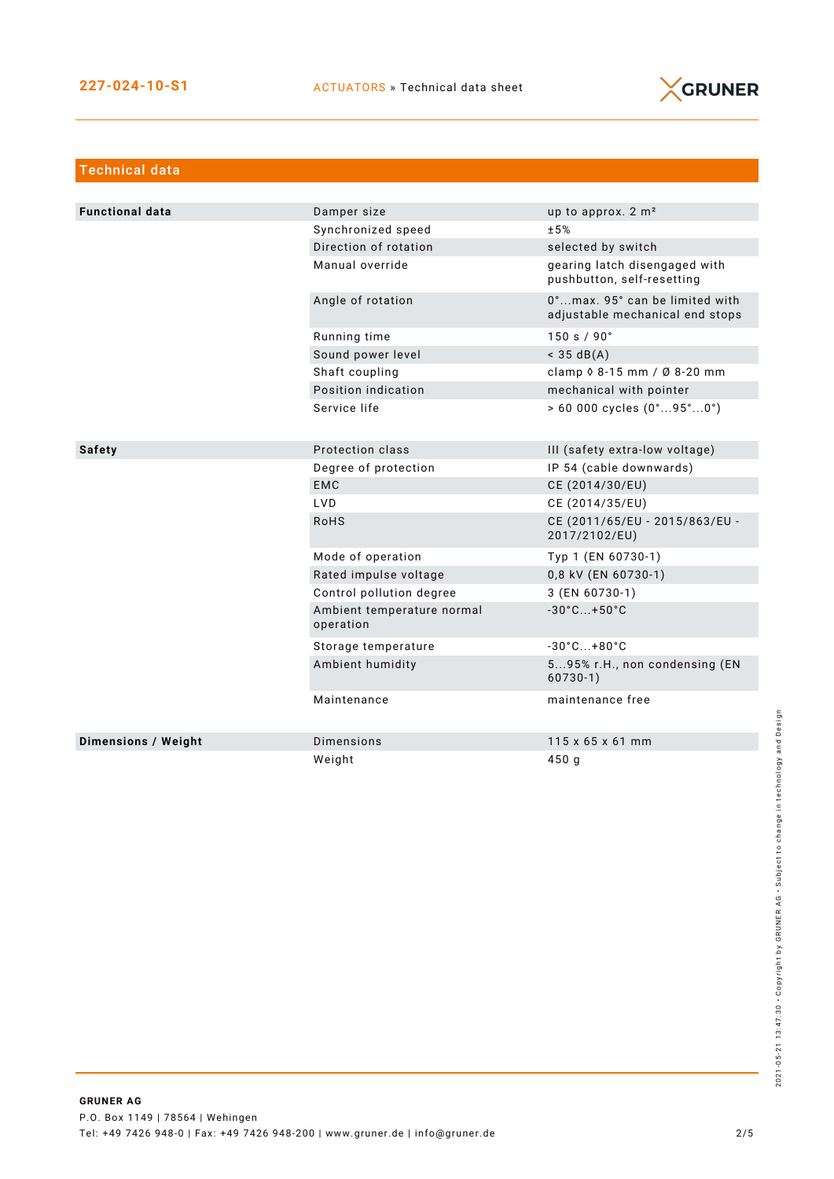

| <b>Technical data</b>  |                                         |                                                                   |
|------------------------|-----------------------------------------|-------------------------------------------------------------------|
|                        |                                         |                                                                   |
| <b>Functional data</b> | Damper size                             | up to approx. 2 m <sup>2</sup>                                    |
|                        | Synchronized speed                      | ±5%                                                               |
|                        | Direction of rotation                   | selected by switch                                                |
|                        | Manual override                         | gearing latch disengaged with<br>pushbutton, self-resetting       |
|                        | Angle of rotation                       | 0°max. 95° can be limited with<br>adjustable mechanical end stops |
|                        | Running time                            | 150 s / 90°                                                       |
|                        | Sound power level                       | $<$ 35 dB(A)                                                      |
|                        | Shaft coupling                          | clamp 0 8-15 mm / Ø 8-20 mm                                       |
|                        | Position indication                     | mechanical with pointer                                           |
|                        | Service life                            | $> 60000$ cycles $(0^{\circ}95^{\circ}0^{\circ})$                 |
|                        |                                         |                                                                   |
| <b>Safety</b>          | Protection class                        | III (safety extra-low voltage)                                    |
|                        | Degree of protection                    | IP 54 (cable downwards)                                           |
|                        | <b>EMC</b>                              | CE (2014/30/EU)                                                   |
|                        | <b>LVD</b>                              | CE (2014/35/EU)                                                   |
|                        | <b>RoHS</b>                             | CE (2011/65/EU - 2015/863/EU -<br>2017/2102/EU)                   |
|                        | Mode of operation                       | Typ 1 (EN 60730-1)                                                |
|                        | Rated impulse voltage                   | 0,8 kV (EN 60730-1)                                               |
|                        | Control pollution degree                | 3 (EN 60730-1)                                                    |
|                        | Ambient temperature normal<br>operation | $-30^{\circ}$ C +50 $^{\circ}$ C                                  |
|                        | Storage temperature                     | $-30^{\circ}$ C +80 $^{\circ}$ C                                  |
|                        | Ambient humidity                        | 595% r.H., non condensing (EN<br>$60730-1)$                       |
|                        | Maintenance                             | maintenance free                                                  |
| Dimensions / Weight    | <b>Dimensions</b>                       | $115 \times 65 \times 61$ mm                                      |
|                        | Weight                                  | 450q                                                              |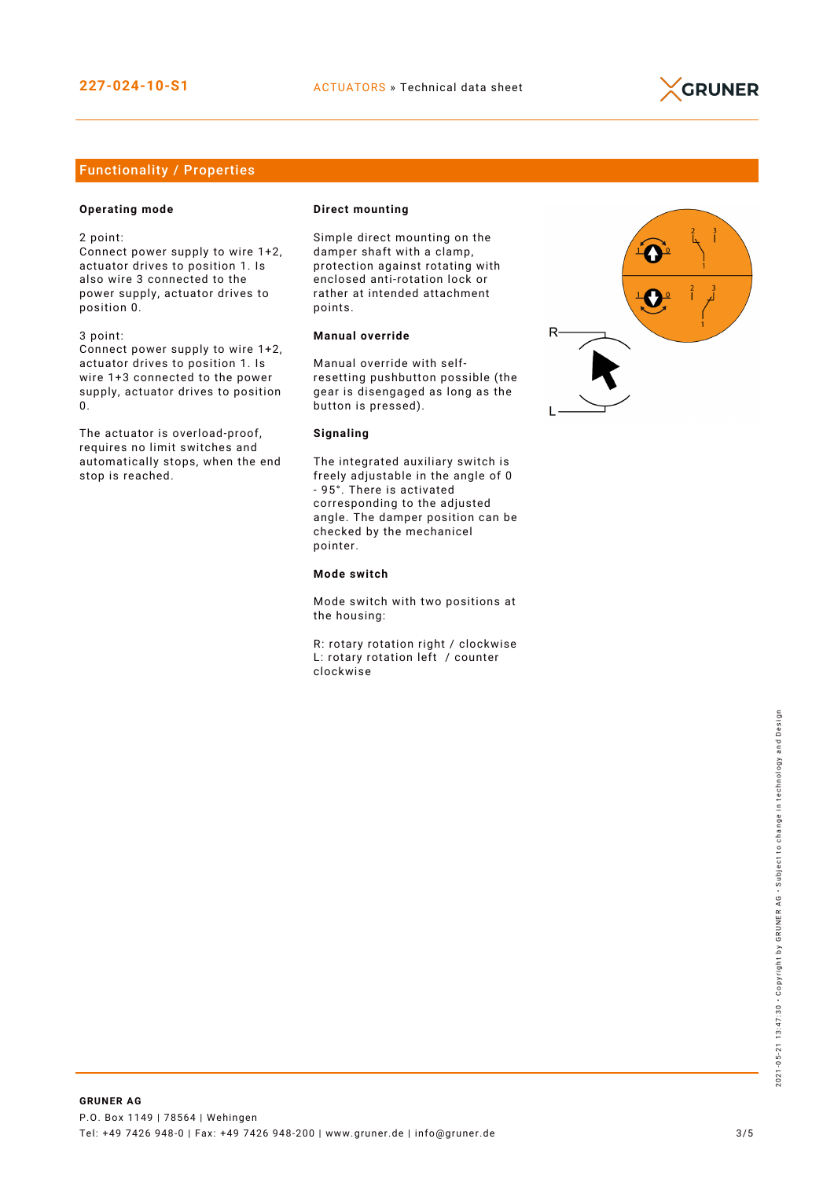

# Functionality / Properties

## **Operating mode**

2 point:

Connect power supply to wire 1+2, actuator drives to position 1. Is also wire 3 connected to the power supply, actuator drives to position 0.

3 point:

Connect power supply to wire 1+2, actuator drives to position 1. Is wire 1+3 connected to the power supply, actuator drives to position 0.

The actuator is overload-proof, requires no limit switches and automatically stops, when the end stop is reached.

#### **Direct mounting**

Simple direct mounting on the damper shaft with a clamp, protection against rotating with enclosed anti-rotation lock or rather at intended attachment points.

## **Manual override**

Manual override with selfresetting pushbutton possible (the gear is disengaged as long as the button is pressed).

#### **Signaling**

The integrated auxiliary switch is freely adjustable in the angle of 0 - 95°. There is activated corresponding to the adjusted angle. The damper position can be checked by the mechanicel pointer.

#### **Mode switch**

Mode switch with two positions at the housing:

R: rotary rotation right / clockwise L: rotary rotation left / counter clockwise

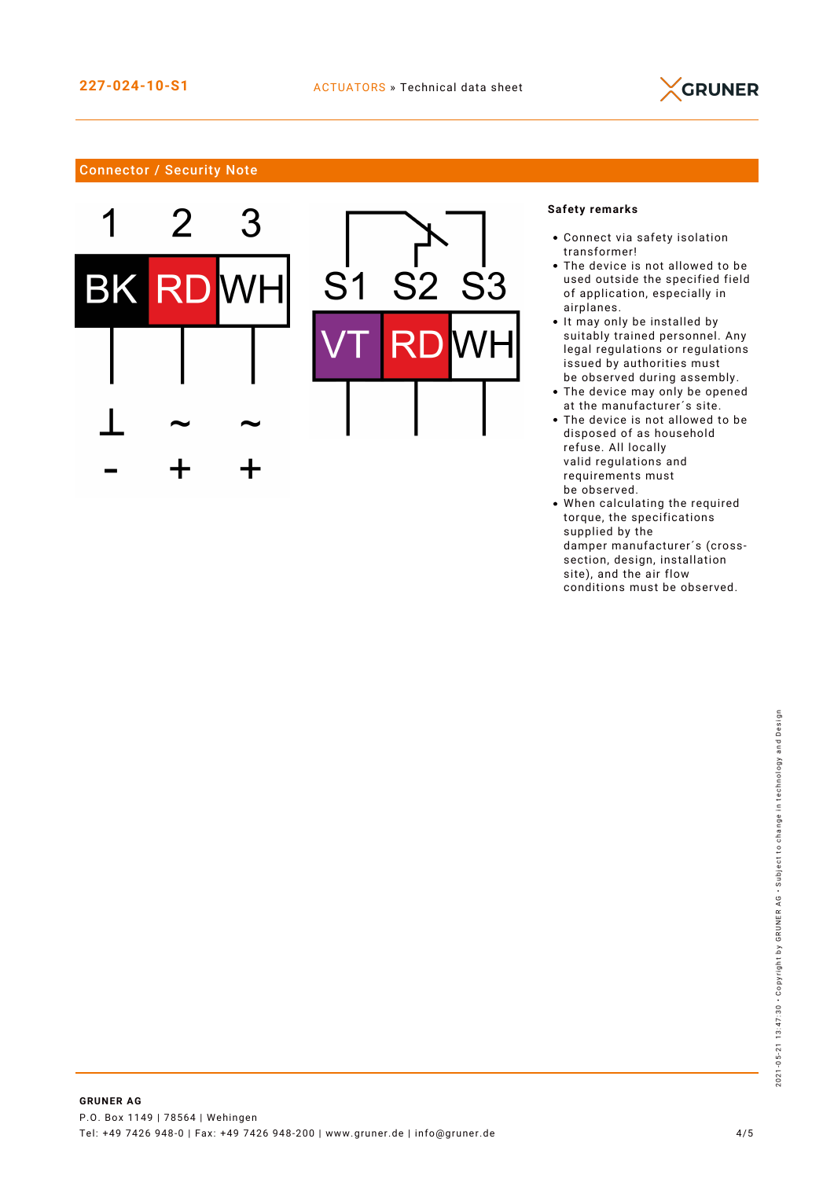

# Connector / Security Note





## **Safety remarks**

- Connect via safety isolation transformer!
- The device is not allowed to be used outside the specified field of application, especially in airplanes.
- It may only be installed by suitably trained personnel. Any legal regulations or regulations issued by authorities must be observed during assembly.
- The device may only be opened at the manufacturer´s site.
- The device is not allowed to be disposed of as household refuse. All locally valid regulations and requirements must be observed.
- When calculating the required torque, the specifications supplied by the damper manufacturer´s (crosssection, design, installation site), and the air flow conditions must be observed.